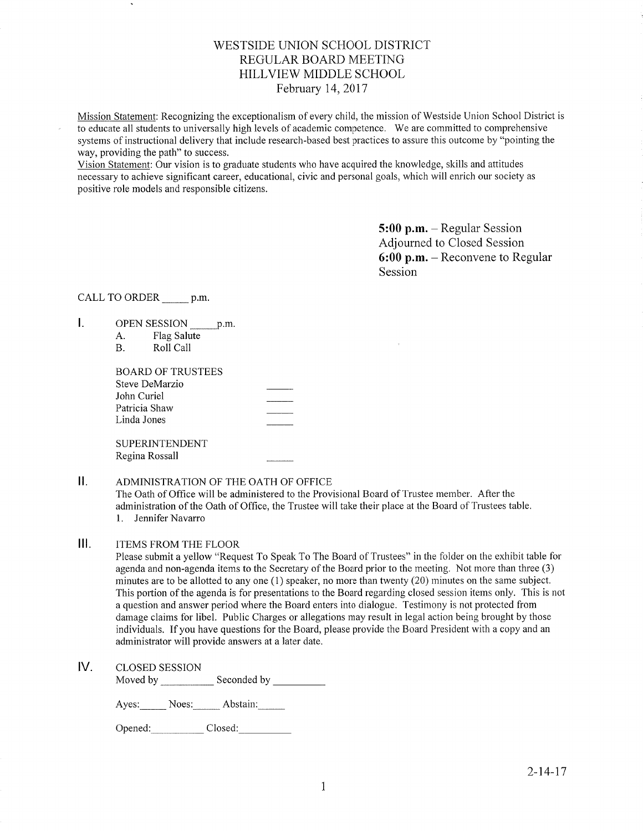# WESTSIDE LINION SCHOOL DISTRICT REGULAR BOARD MEETING HILLVIEW MIDDLE SCHOOL February 14,2017

Mission Statement: Recognizing the exceptionalism of every child, the mission of Westside Union School District is to educate all students to universally high levels of academic competence. We are committed to comprehensive systems of instructional delivery that include research-based best practices to assure this outcome by "pointing the way, providing the path" to success.

Vision Statement: Our vision is to graduate students who have acquired the knowledge, skills and attitudes necessary to achieve significant career, educational, civic and personal goals, which will enrich our sociefy as positive role models and responsible citizens.

> 5:00 p.m. - Regular Session Adjourned to Closed Session 6:00 p.m. - Reconvene to Regular Session

CALL TO ORDER p.m.

- I. OPEN SESSION \_\_\_\_\_\_ p.m.
	- A. Flag Salute B. Roll Call
	-

| BOARD OF TRUSTEES |  |
|-------------------|--|
| Steve DeMarzio    |  |
| John Curiel       |  |
| Patricia Shaw     |  |
| Linda Jones       |  |
| SUPERINTENDENT    |  |

Regina Rossall

# II. ADMINISTRATION OF THE OATH OF OFFICE

The Oath of Office will be administered to the Provisional Board of Trustee member. After the administration of the Oath of Office, the Trustee will take their place at the Board of Trustees table l. Jennifer Navarro

# III. ITEMS FROM THE FLOOR

Please submit a yellow "Request To Speak To The Board of Trustees" in the folder on the exhibit table for agenda and non-agenda items to the Secretary of the Board prior to the meeting. Not more than three (3) minutes are to be allotted to any one (1) speaker, no more than twenty (20) minutes on the same subject. This portion of the agenda is for presentations to the Board regarding closed session items only. This is not a question and answer period where the Board enters into dialogue. Testimony is not protected from damage claims for libel. Public Charges or allegations may result in legal action being brought by those individuals. If you have questions for the Board, please provide the Board President with a copy and an administrator will provide answers at a later date.

lV. cLosED sESSroN

Moved by Seconded by Seconded by

Ayes: Noes: Abstain:

Opened: Closed: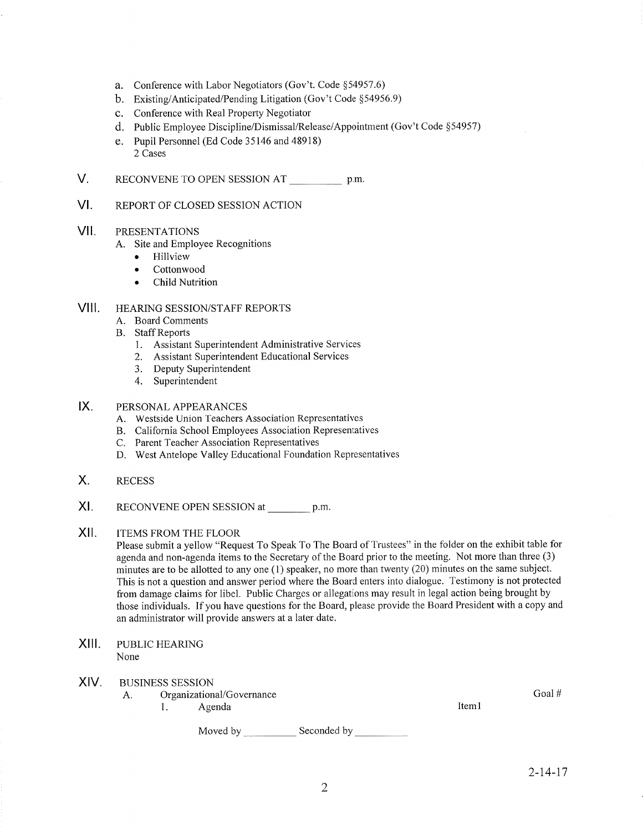- a. Conference with Labor Negotiators (Gov't. Code \$54957.6)
- b. Existing/Anticipated/Pending Litigation (Gov't Code \$54956.9)
- c. Conference with Real Property Negotiator
- d. Public Employee Discipline/Dismissal/Release/Appointment (Gov't Code \$54957)
- e. Pupil Personnel (Ed Code 35146 and 48918) 2 Cases
- V. RECONVENE TO OPEN SESSION AT p.m.
- vt. REPORT OF CLOSED SESSION ACTION

#### vil PRESENTATIONS

- A. Site and Employee Recognitions
	- Hillview
	- . Cottonwood
	- . Child Nutrition

#### VIII. HEARING SESSION/STAFF REPORTS

- A. Board Comments
- B. Staff Reports
	- 1. Assistant Superintendent Administrative Services
	- 2. Assistant Superintendent Educational Services
	- 3. Deputy Superintendent
	- 4. Superintendent

### $IX.$ PERSONAL APPEARANCES

- A. Westside Union Teachers Association Representatives
- B. California School Employees Association Representatives
- C. Parent Teacher Association Representatives
- D. West Antelope Valley Educational Foundation Representatives
- X. RECESS
- xt. RECONVENE OPEN SESSION at \_\_\_\_\_\_\_\_ p.m.
- $XII.$ ITEMS FROM THE FLOOR

Please submit a yellow "Request To Speak To The Board of Trustees" in the folder on the exhibit table for agenda and non-agenda items to the Secretary of the Board prior to the meeting. Not more than three (3) minutes are to be allotted to any one (1) speaker, no more than twenty (20) minutes on the same subject. This is not a question and answer period where the Board enters into diaiogue. Testimony is not protected from damage claims for libel. Public Charges or allegations may result in legal action being brought by those individuals. If you have questions for the Board, please provide the Board President with a copy and an administrator will provide answers at a later date.

XIII. PUBLIC HEARING None

## XIV. BUSINESS SESSION

- A. Organizational/Governance 1. Agenda
	-

Iteml

Moved by Seconded by

Goal #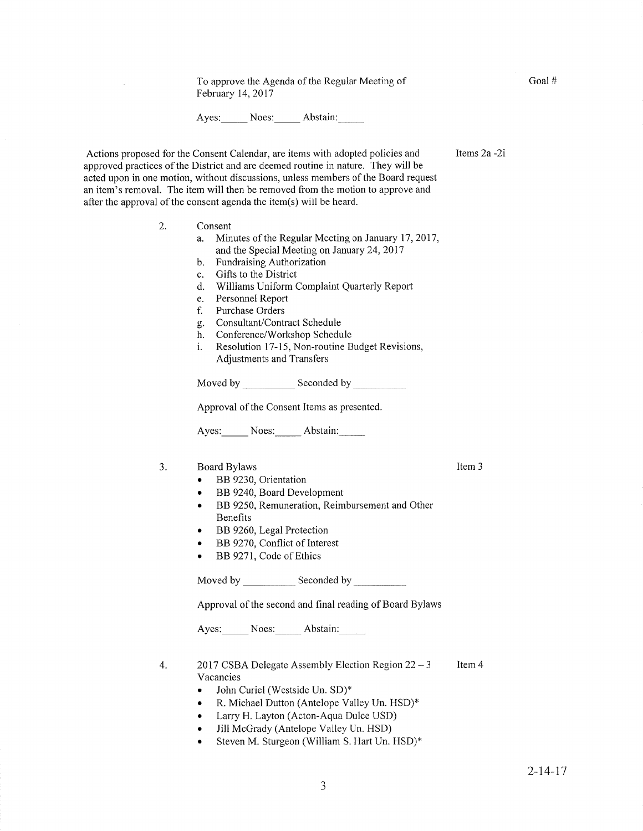To approve the Agenda of the Regular Meeting of February 14,2017

Ayes: Noes: Abstain:

Actions proposed for the Consent Calendar, are items with adopted policies and approved practices of the District and are deemed routine in nature. They will be acted upon in one motion, without discussions, unless members of the Board request an item's removal. The item will then be removed fiom the motion to approve and after the approval of the consent agenda the item(s) will be heard.

- 2. Consent
	- a. Minutes of the Regular Meeting on January l'7,2017, and the Special Meeting on January 24,2011 b. FundraisingAuthorization
	-
	- c. Gifts to the District
	- d. Williams Uniform Complaint Quarterly Reporf
	-
	- f. Purchase Orders
	-
	-
	- g. Consultant/Contract Schedule<br>
	h. Conference/Workshop Schedule<br>
	i. Resolution 17-15, Non-routine Budget Revisions, Adjustments and Transfers

Moved by Seconded by Seconded by

Approval of the Consent Items as presented.

Ayes: Noes: Abstain:

### 3. Board Bylaws

- o BB 9230, Orientation
- BB 9240, Board Development
- BB 9250, Remuneration, Reimbursement and Other Benefits
- BB 9260, Legal Protection
- BB 9270, Conflict of Interest
- BB 9271, Code of Ethics

Moved by Seconded by Seconded by Seconded by Seconded by Seconded by Seconded by Seconded by Seconded by Seconded by Seconded by Seconded by Seconded by Seconded by Seconded by Seconded by Seconded by Seconded by Seconded

Approval of the second and final reading of Board Bylaws

Ayes: Noes: Abstain:

- Item 4 2017 CSBA Delegate Assembly Election Region  $22 - 3$ Vacancies 4
	- John Curiel (Westside Un. SD)\*
	- R. Michael Dutton (Antelope Valley Un. HSD)\*
	- . Larry H. Layton (Acton-Aqua Dulce USD)
	- Jill McGrady (Antelope Valley Un. HSD)
	- Steven M. Sturgeon (William S. Hart Un. HSD)\*

 $2 - 14 - 17$ 

Goal #

Items 2a -2i

Item 3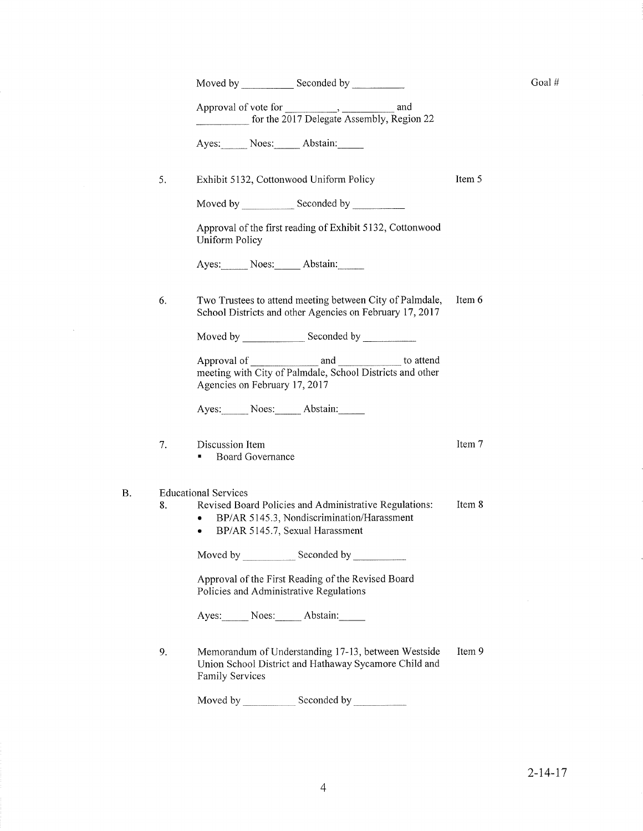|    | Moved by ________________ Seconded by ______________                                                                                                                                |        |  |  |
|----|-------------------------------------------------------------------------------------------------------------------------------------------------------------------------------------|--------|--|--|
|    | for the 2017 Delegate Assembly, Region 22                                                                                                                                           |        |  |  |
|    | Ayes: Noes: Abstain:                                                                                                                                                                |        |  |  |
| 5. | Exhibit 5132, Cottonwood Uniform Policy                                                                                                                                             | Item 5 |  |  |
|    | Moved by Seconded by Seconded by                                                                                                                                                    |        |  |  |
|    | Approval of the first reading of Exhibit 5132, Cottonwood<br><b>Uniform Policy</b>                                                                                                  |        |  |  |
|    | Ayes: Noes: Abstain:                                                                                                                                                                |        |  |  |
| 6. | Two Trustees to attend meeting between City of Palmdale,<br>School Districts and other Agencies on February 17, 2017                                                                | Item 6 |  |  |
|    |                                                                                                                                                                                     |        |  |  |
|    | meeting with City of Palmdale, School Districts and other<br>Agencies on February 17, 2017                                                                                          |        |  |  |
|    | Ayes: Noes: Abstain:                                                                                                                                                                |        |  |  |
| 7. | Discussion Item<br>Board Governance                                                                                                                                                 | Item 7 |  |  |
| 8. | <b>Educational Services</b><br>Revised Board Policies and Administrative Regulations:<br>BP/AR 5145.3, Nondiscrimination/Harassment<br>$\bullet$<br>BP/AR 5145.7, Sexual Harassment | Item 8 |  |  |
|    | Moved by ________________ Seconded by ____________                                                                                                                                  |        |  |  |
|    | Approval of the First Reading of the Revised Board<br>Policies and Administrative Regulations                                                                                       |        |  |  |
|    | Ayes: Noes: Abstain:                                                                                                                                                                |        |  |  |
| 9. | Memorandum of Understanding 17-13, between Westside<br>Union School District and Hathaway Sycamore Child and<br>Family Services                                                     | Item 9 |  |  |

B.

 $\mathcal{L}^{\text{max}}_{\text{max}}$ 

Moved by \_\_\_\_\_\_\_\_\_\_\_\_\_ Seconded by

Goal $\#$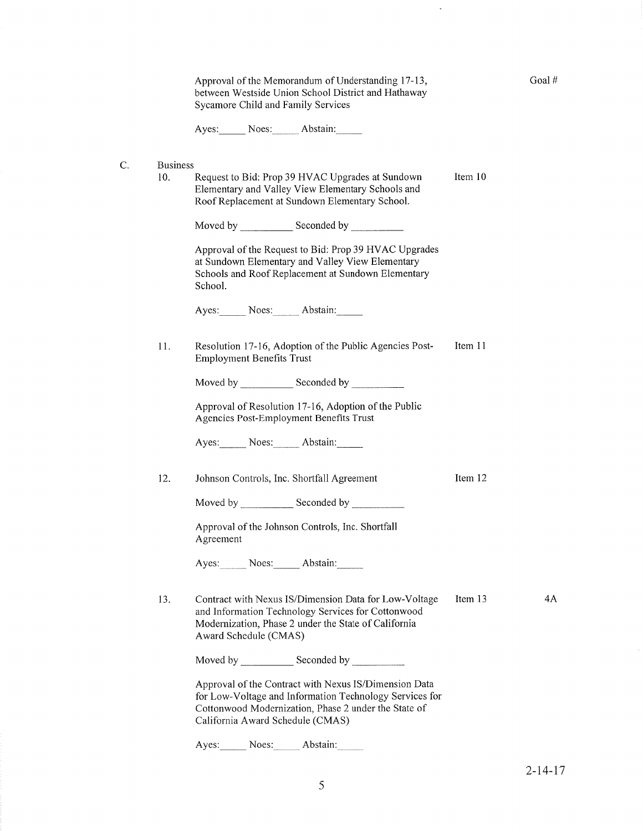|    | Approval of the Memorandum of Understanding 17-13,<br>between Westside Union School District and Hathaway<br>Sycamore Child and Family Services |                                                                                                                                                                                                              |         | Goal# |
|----|-------------------------------------------------------------------------------------------------------------------------------------------------|--------------------------------------------------------------------------------------------------------------------------------------------------------------------------------------------------------------|---------|-------|
|    |                                                                                                                                                 | Ayes: Noes: Abstain:                                                                                                                                                                                         |         |       |
| C. | <b>Business</b><br>10.                                                                                                                          | Request to Bid: Prop 39 HVAC Upgrades at Sundown<br>Elementary and Valley View Elementary Schools and<br>Roof Replacement at Sundown Elementary School.                                                      | Item 10 |       |
|    |                                                                                                                                                 |                                                                                                                                                                                                              |         |       |
|    |                                                                                                                                                 | Approval of the Request to Bid: Prop 39 HVAC Upgrades<br>at Sundown Elementary and Valley View Elementary<br>Schools and Roof Replacement at Sundown Elementary<br>School.                                   |         |       |
|    |                                                                                                                                                 | Ayes: Noes: Abstain:                                                                                                                                                                                         |         |       |
|    | 11.                                                                                                                                             | Resolution 17-16, Adoption of the Public Agencies Post-<br><b>Employment Benefits Trust</b>                                                                                                                  | Item 11 |       |
|    |                                                                                                                                                 |                                                                                                                                                                                                              |         |       |
|    |                                                                                                                                                 | Approval of Resolution 17-16, Adoption of the Public<br>Agencies Post-Employment Benefits Trust                                                                                                              |         |       |
|    |                                                                                                                                                 | Ayes: Noes: Abstain:                                                                                                                                                                                         |         |       |
|    | 12.                                                                                                                                             | Johnson Controls, Inc. Shortfall Agreement                                                                                                                                                                   | Item 12 |       |
|    |                                                                                                                                                 | Moved by Seconded by Seconded by                                                                                                                                                                             |         |       |
|    |                                                                                                                                                 | Approval of the Johnson Controls, Inc. Shortfall<br>Agreement                                                                                                                                                |         |       |
|    |                                                                                                                                                 | Ayes: Noes: Abstain:                                                                                                                                                                                         |         |       |
|    | 13.                                                                                                                                             | Contract with Nexus IS/Dimension Data for Low-Voltage<br>and Information Technology Services for Cottonwood<br>Modernization, Phase 2 under the State of California<br>Award Schedule (CMAS)                 | Item 13 | 4A    |
|    |                                                                                                                                                 | Moved by Seconded by Seconded by                                                                                                                                                                             |         |       |
|    |                                                                                                                                                 | Approval of the Contract with Nexus IS/Dimension Data<br>for Low-Voltage and Information Technology Services for<br>Cottonwood Modernization, Phase 2 under the State of<br>California Award Schedule (CMAS) |         |       |
|    |                                                                                                                                                 | Noes:<br>Abstain:<br>Ayes:                                                                                                                                                                                   |         |       |

 $\langle \cdot, \cdot \rangle$ 

2-14-17

 $\bar{\lambda}$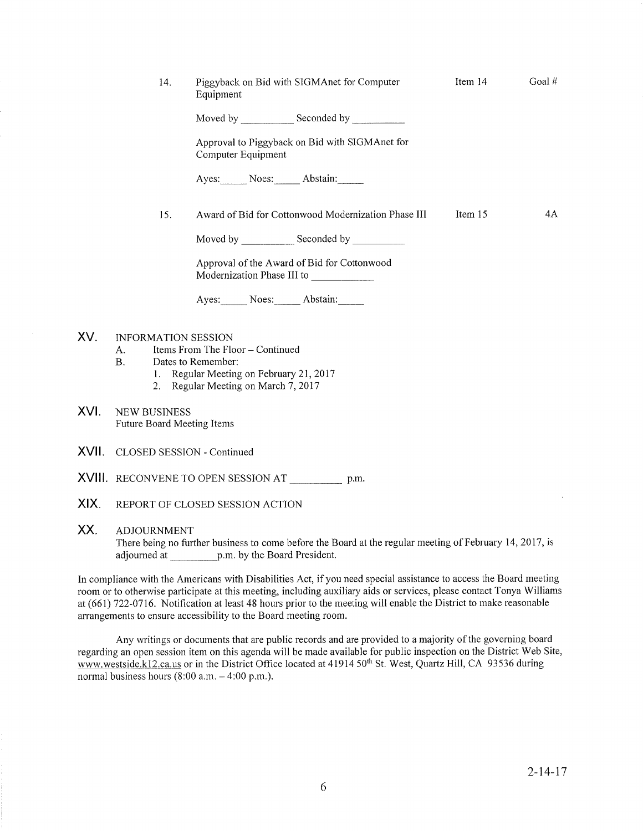|      | 14.                                                | Piggyback on Bid with SIGMAnet for Computer<br>Equipment                                                                                 | Item 14 | Goal $#$ |  |
|------|----------------------------------------------------|------------------------------------------------------------------------------------------------------------------------------------------|---------|----------|--|
|      |                                                    |                                                                                                                                          |         |          |  |
|      |                                                    | Approval to Piggyback on Bid with SIGMAnet for<br>Computer Equipment                                                                     |         |          |  |
|      |                                                    | Ayes: Noes: Abstain:                                                                                                                     |         |          |  |
|      | 15.                                                | Award of Bid for Cottonwood Modernization Phase III                                                                                      | Item 15 | 4A       |  |
|      |                                                    |                                                                                                                                          |         |          |  |
|      |                                                    | Approval of the Award of Bid for Cottonwood<br>Modernization Phase III to                                                                |         |          |  |
|      |                                                    | Ayes: Noes: Abstain:                                                                                                                     |         |          |  |
| XV.  | <b>INFORMATION SESSION</b><br>A.<br>B <sub>r</sub> | Items From The Floor - Continued<br>Dates to Remember:<br>1. Regular Meeting on February 21, 2017<br>2. Regular Meeting on March 7, 2017 |         |          |  |
| XVI. | <b>NEW BUSINESS</b><br>Future Board Meeting Items  |                                                                                                                                          |         |          |  |
|      | <b>XVII.</b> CLOSED SESSION - Continued            |                                                                                                                                          |         |          |  |

- XVIII RECONVENE TO OPEN SESSION AT p.m.
- XIX. REPORT OF CLOSED SESSION ACTION

## XX. ADJOURNMENT

There being no further business to come before the Board at the regular meeting of February 14,2017, is adjourned at p.m. by the Board President.

In compliance with the Americans with Disabilities Act, if you need special assistance to access the Board meeting room or to otherwise participate at this meeting, including auxiliary aids or services, please contact Tonya Williams at (661) 722-0716. Notification at least 48 hours prior to the meeting will enable the District to make reasonable arrangements to ensure accessibility to the Board meeting room.

Any writings or documents fhat are public records and are provided to a majority of the governing board regarding an open session item on this agenda will be made available for public inspection on the District Web Site, www.westside.kl2.ca.us or in the District Office located at 41914 50<sup>th</sup> St. West, Quartz Hill, CA 93536 during normal business hours  $(8:00 a.m. - 4:00 p.m.).$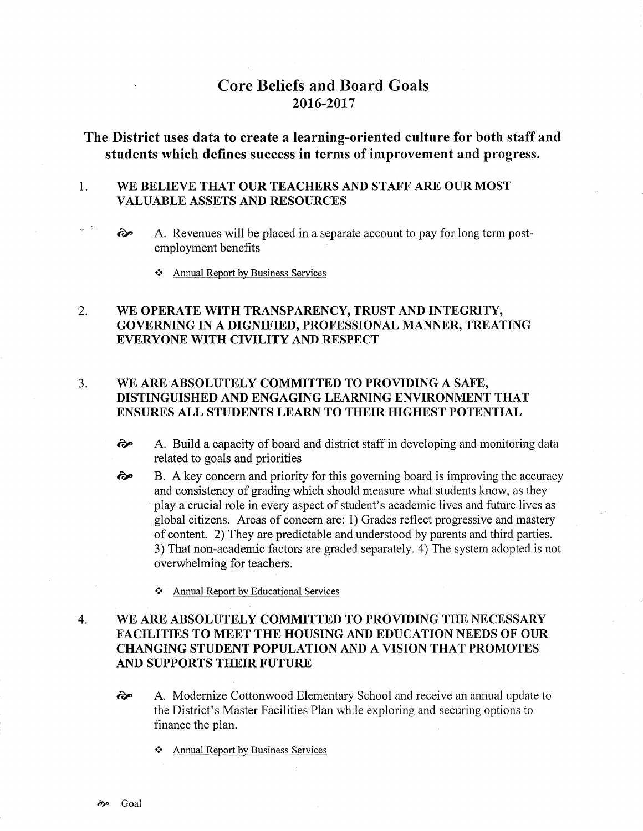# Core Beliefs and Board Goals 20t6-2017

# The District uses data to create a learning-oriented culture for both staff and students which defines success in terms of improvement and progress.

### 1 WE BELIEVE THAT OUR TEACHERS AND STAFF ARE OUR MOST VALUABLE ASSETS AND RESOURCES

- $\odot$  A. Revenues will be placed in a separate account to pay for long term postemployment benefits
	- $\triangle$  Annual Report by Business Services

### WE OPERATE WITH TRANSPARENCY, TRUST AND INTEGRITY, GOVERNING IN A DIGNIFIED, PROFESSIONAL MANNER, TREATING EVERYONE WITH CIVILITY AND RESPECT 2.

# 3. WE ARE ABSOLUTELY COMMITTED TO PROVIDING A SAFE, DISTINGUISHED AND ENGAGING LEARNING ENVIRONMENT THAT ENSURES ALL STUDENTS LEARN TO THEIR HIGHEST POTENTIAL

- èp A. Build a capacity of board and district staff in developing and monitoring data related to goals and priorities
- B. A key concern and priority for this governing board is improving the accuracy and consistency of grading which should measure what students know, as they play acrucial role in every aspect of student's academic lives and future lives as global citizens. Areas of concern are: 1) Grades reflect progressive and mastery of content. 2) They are predictable and understood by parents and third parties. 3) That non-academic factors are graded separately. 4) The system adopted is not overwhelming for teachers. ôP
	- \* Annual Report by Educational Services

## WE ARE ABSOLUTELY COMMITTED TO PROVIDING THE NECESSARY FACILITIES TO MEET THE HOUSING AND EDUCATION NEEDS OF OUR CHANGING STUDENT POPULATION AND A VISION THAT PROMOTES AND SUPPORTS THEIR FUTURE 4

- èp A. Modernize Cottonwood Elementary School and receive an annual update to the District's Master Facilities Plan while exploring and securing options to finance the plan.
	- \* Annual Report by Business Services

 $e^{-\frac{1}{2}t}$